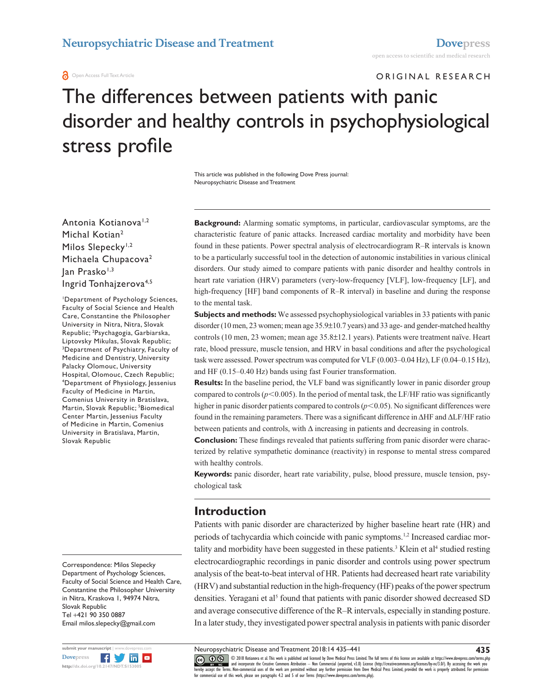#### **a** Open Access Full Text Article

ORIGINAL RESEARCH

# The differences between patients with panic disorder and healthy controls in psychophysiological stress profile

This article was published in the following Dove Press journal: Neuropsychiatric Disease and Treatment

Antonia Kotianova<sup>1,2</sup> Michal Kotian2 Milos Slepecky<sup>1,2</sup> Michaela Chupacova<sup>2</sup> Jan Prasko<sup>1,3</sup> Ingrid Tonhajzerova4,5

1 Department of Psychology Sciences, Faculty of Social Science and Health Care, Constantine the Philosopher University in Nitra, Nitra, Slovak Republic; 2 Psychagogia, Garbiarska, Liptovsky Mikulas, Slovak Republic; 3 Department of Psychiatry, Faculty of Medicine and Dentistry, University Palacky Olomouc, University Hospital, Olomouc, Czech Republic; 4 Department of Physiology, Jessenius Faculty of Medicine in Martin, Comenius University in Bratislava, Martin, Slovak Republic; <sup>5</sup>Biomedical Center Martin, Jessenius Faculty of Medicine in Martin, Comenius University in Bratislava, Martin, Slovak Republic

Correspondence: Milos Slepecky Department of Psychology Sciences, Faculty of Social Science and Health Care, Constantine the Philosopher University in Nitra, Kraskova 1, 94974 Nitra, Slovak Republic Tel +421 90 350 0887 Email [milos.slepecky@gmail.com](mailto:milos.slepecky@gmail.com)



**Background:** Alarming somatic symptoms, in particular, cardiovascular symptoms, are the characteristic feature of panic attacks. Increased cardiac mortality and morbidity have been found in these patients. Power spectral analysis of electrocardiogram R–R intervals is known to be a particularly successful tool in the detection of autonomic instabilities in various clinical disorders. Our study aimed to compare patients with panic disorder and healthy controls in heart rate variation (HRV) parameters (very-low-frequency [VLF], low-frequency [LF], and high-frequency [HF] band components of R–R interval) in baseline and during the response to the mental task.

**Subjects and methods:** We assessed psychophysiological variables in 33 patients with panic disorder (10 men, 23 women; mean age 35.9±10.7 years) and 33 age- and gender-matched healthy controls (10 men, 23 women; mean age 35.8±12.1 years). Patients were treatment naïve. Heart rate, blood pressure, muscle tension, and HRV in basal conditions and after the psychological task were assessed. Power spectrum was computed for VLF (0.003–0.04 Hz), LF (0.04–0.15 Hz), and HF (0.15–0.40 Hz) bands using fast Fourier transformation.

**Results:** In the baseline period, the VLF band was significantly lower in panic disorder group compared to controls ( $p<0.005$ ). In the period of mental task, the LF/HF ratio was significantly higher in panic disorder patients compared to controls  $(p<0.05)$ . No significant differences were found in the remaining parameters. There was a significant difference in ΔHF and ΔLF/HF ratio between patients and controls, with  $\Delta$  increasing in patients and decreasing in controls.

**Conclusion:** These findings revealed that patients suffering from panic disorder were characterized by relative sympathetic dominance (reactivity) in response to mental stress compared with healthy controls.

**Keywords:** panic disorder, heart rate variability, pulse, blood pressure, muscle tension, psychological task

# **Introduction**

Patients with panic disorder are characterized by higher baseline heart rate (HR) and periods of tachycardia which coincide with panic symptoms.<sup>1,2</sup> Increased cardiac mortality and morbidity have been suggested in these patients.<sup>3</sup> Klein et al<sup>4</sup> studied resting electrocardiographic recordings in panic disorder and controls using power spectrum analysis of the beat-to-beat interval of HR. Patients had decreased heart rate variability (HRV) and substantial reduction in the high-frequency (HF) peaks of the power spectrum densities. Yeragani et al<sup>5</sup> found that patients with panic disorder showed decreased SD and average consecutive difference of the R–R intervals, especially in standing posture. In a later study, they investigated power spectral analysis in patients with panic disorder

Neuropsychiatric Disease and Treatment 2018:14 435–441

CCC 1 © 2018 Kotianova et al. This work is published and licensed by Dove Medical Press Limited. The full terms of this license are available at <https://www.dovepress.com/terms.php><br>[hereby accept the Terms](http://www.dovepress.com/permissions.php). Non-commercial u

**435**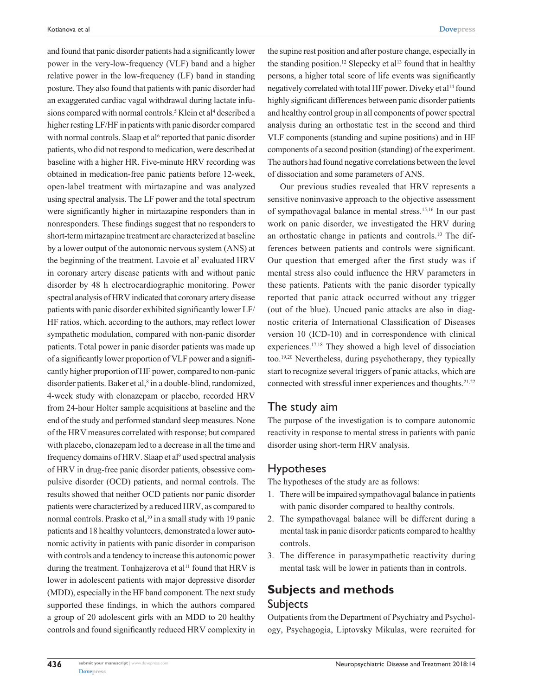and found that panic disorder patients had a significantly lower power in the very-low-frequency (VLF) band and a higher relative power in the low-frequency (LF) band in standing posture. They also found that patients with panic disorder had an exaggerated cardiac vagal withdrawal during lactate infusions compared with normal controls.<sup>5</sup> Klein et al<sup>4</sup> described a higher resting LF/HF in patients with panic disorder compared with normal controls. Slaap et al<sup>6</sup> reported that panic disorder patients, who did not respond to medication, were described at baseline with a higher HR. Five-minute HRV recording was obtained in medication-free panic patients before 12-week, open-label treatment with mirtazapine and was analyzed using spectral analysis. The LF power and the total spectrum were significantly higher in mirtazapine responders than in nonresponders. These findings suggest that no responders to short-term mirtazapine treatment are characterized at baseline by a lower output of the autonomic nervous system (ANS) at the beginning of the treatment. Lavoie et al<sup>7</sup> evaluated HRV in coronary artery disease patients with and without panic disorder by 48 h electrocardiographic monitoring. Power spectral analysis of HRV indicated that coronary artery disease patients with panic disorder exhibited significantly lower LF/ HF ratios, which, according to the authors, may reflect lower sympathetic modulation, compared with non-panic disorder patients. Total power in panic disorder patients was made up of a significantly lower proportion of VLF power and a significantly higher proportion of HF power, compared to non-panic disorder patients. Baker et al,<sup>8</sup> in a double-blind, randomized, 4-week study with clonazepam or placebo, recorded HRV from 24-hour Holter sample acquisitions at baseline and the end of the study and performed standard sleep measures. None of the HRV measures correlated with response; but compared with placebo, clonazepam led to a decrease in all the time and frequency domains of HRV. Slaap et al<sup>9</sup> used spectral analysis of HRV in drug-free panic disorder patients, obsessive compulsive disorder (OCD) patients, and normal controls. The results showed that neither OCD patients nor panic disorder patients were characterized by a reduced HRV, as compared to normal controls. Prasko et al,<sup>10</sup> in a small study with 19 panic patients and 18 healthy volunteers, demonstrated a lower autonomic activity in patients with panic disorder in comparison with controls and a tendency to increase this autonomic power during the treatment. Tonhajzerova et al<sup>11</sup> found that HRV is lower in adolescent patients with major depressive disorder (MDD), especially in the HF band component. The next study supported these findings, in which the authors compared a group of 20 adolescent girls with an MDD to 20 healthy controls and found significantly reduced HRV complexity in

the supine rest position and after posture change, especially in the standing position.<sup>12</sup> Slepecky et al<sup>13</sup> found that in healthy persons, a higher total score of life events was significantly negatively correlated with total HF power. Diveky et al<sup>14</sup> found highly significant differences between panic disorder patients and healthy control group in all components of power spectral analysis during an orthostatic test in the second and third VLF components (standing and supine positions) and in HF components of a second position (standing) of the experiment. The authors had found negative correlations between the level of dissociation and some parameters of ANS.

Our previous studies revealed that HRV represents a sensitive noninvasive approach to the objective assessment of sympathovagal balance in mental stress.15,16 In our past work on panic disorder, we investigated the HRV during an orthostatic change in patients and controls.10 The differences between patients and controls were significant. Our question that emerged after the first study was if mental stress also could influence the HRV parameters in these patients. Patients with the panic disorder typically reported that panic attack occurred without any trigger (out of the blue). Uncued panic attacks are also in diagnostic criteria of International Classification of Diseases version 10 (ICD-10) and in correspondence with clinical experiences.17,18 They showed a high level of dissociation too.19,20 Nevertheless, during psychotherapy, they typically start to recognize several triggers of panic attacks, which are connected with stressful inner experiences and thoughts.<sup>21,22</sup>

## The study aim

The purpose of the investigation is to compare autonomic reactivity in response to mental stress in patients with panic disorder using short-term HRV analysis.

## Hypotheses

The hypotheses of the study are as follows:

- 1. There will be impaired sympathovagal balance in patients with panic disorder compared to healthy controls.
- 2. The sympathovagal balance will be different during a mental task in panic disorder patients compared to healthy controls.
- 3. The difference in parasympathetic reactivity during mental task will be lower in patients than in controls.

# **Subjects and methods Subjects**

Outpatients from the Department of Psychiatry and Psychology, Psychagogia, Liptovsky Mikulas, were recruited for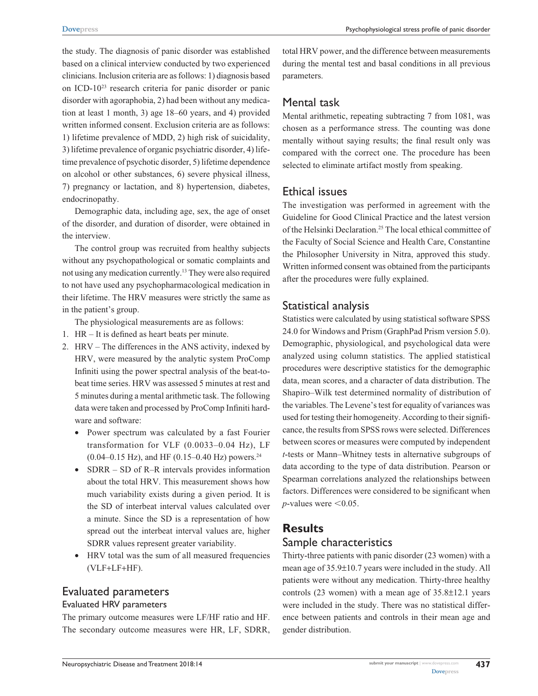the study. The diagnosis of panic disorder was established based on a clinical interview conducted by two experienced clinicians. Inclusion criteria are as follows: 1) diagnosis based on ICD-1023 research criteria for panic disorder or panic disorder with agoraphobia, 2) had been without any medication at least 1 month, 3) age 18–60 years, and 4) provided written informed consent. Exclusion criteria are as follows: 1) lifetime prevalence of MDD, 2) high risk of suicidality, 3) lifetime prevalence of organic psychiatric disorder, 4) lifetime prevalence of psychotic disorder, 5) lifetime dependence on alcohol or other substances, 6) severe physical illness, 7) pregnancy or lactation, and 8) hypertension, diabetes, endocrinopathy.

Demographic data, including age, sex, the age of onset of the disorder, and duration of disorder, were obtained in the interview.

The control group was recruited from healthy subjects without any psychopathological or somatic complaints and not using any medication currently.13 They were also required to not have used any psychopharmacological medication in their lifetime. The HRV measures were strictly the same as in the patient's group.

The physiological measurements are as follows:

- 1. HR It is defined as heart beats per minute.
- 2. HRV The differences in the ANS activity, indexed by HRV, were measured by the analytic system ProComp Infiniti using the power spectral analysis of the beat-tobeat time series. HRV was assessed 5 minutes at rest and 5 minutes during a mental arithmetic task. The following data were taken and processed by ProComp Infiniti hardware and software:
	- • Power spectrum was calculated by a fast Fourier transformation for VLF (0.0033–0.04 Hz), LF  $(0.04 - 0.15 \text{ Hz})$ , and HF  $(0.15 - 0.40 \text{ Hz})$  powers.<sup>24</sup>
	- SDRR SD of R–R intervals provides information about the total HRV. This measurement shows how much variability exists during a given period. It is the SD of interbeat interval values calculated over a minute. Since the SD is a representation of how spread out the interbeat interval values are, higher SDRR values represent greater variability.
	- • HRV total was the sum of all measured frequencies (VLF+LF+HF).

## Evaluated parameters

#### Evaluated HRV parameters

The primary outcome measures were LF/HF ratio and HF. The secondary outcome measures were HR, LF, SDRR, total HRV power, and the difference between measurements during the mental test and basal conditions in all previous parameters.

# Mental task

Mental arithmetic, repeating subtracting 7 from 1081, was chosen as a performance stress. The counting was done mentally without saying results; the final result only was compared with the correct one. The procedure has been selected to eliminate artifact mostly from speaking.

#### Ethical issues

The investigation was performed in agreement with the Guideline for Good Clinical Practice and the latest version of the Helsinki Declaration.25 The local ethical committee of the Faculty of Social Science and Health Care, Constantine the Philosopher University in Nitra, approved this study. Written informed consent was obtained from the participants after the procedures were fully explained.

#### Statistical analysis

Statistics were calculated by using statistical software SPSS 24.0 for Windows and Prism (GraphPad Prism version 5.0). Demographic, physiological, and psychological data were analyzed using column statistics. The applied statistical procedures were descriptive statistics for the demographic data, mean scores, and a character of data distribution. The Shapiro–Wilk test determined normality of distribution of the variables. The Levene's test for equality of variances was used for testing their homogeneity. According to their significance, the results from SPSS rows were selected. Differences between scores or measures were computed by independent *t*-tests or Mann–Whitney tests in alternative subgroups of data according to the type of data distribution. Pearson or Spearman correlations analyzed the relationships between factors. Differences were considered to be significant when *p*-values were  $\leq 0.05$ .

# **Results** Sample characteristics

Thirty-three patients with panic disorder (23 women) with a mean age of 35.9±10.7 years were included in the study. All patients were without any medication. Thirty-three healthy controls (23 women) with a mean age of 35.8±12.1 years were included in the study. There was no statistical difference between patients and controls in their mean age and gender distribution.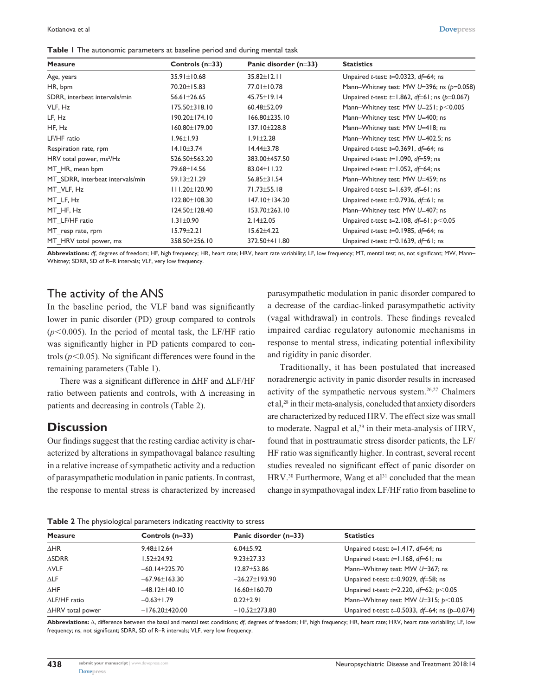**Table 1** The autonomic parameters at baseline period and during mental task

| <b>Measure</b>                       | Controls $(n=33)$   | Panic disorder (n=33) | <b>Statistics</b>                                               |
|--------------------------------------|---------------------|-----------------------|-----------------------------------------------------------------|
| Age, years                           | 35.91±10.68         | $35.82 \pm 12.11$     | Unpaired t-test: $t=0.0323$ , df=64; ns                         |
| HR, bpm                              | 70.20±15.83         | 77.01±10.78           | Mann-Whitney test: MW $U=396$ ; ns ( $p=0.058$ )                |
| SDRR, interbeat intervals/min        | 56.61±26.65         | 45.75±19.14           | Unpaired <i>t</i> -test: $t=1.862$ , $df=61$ ; ns ( $p=0.067$ ) |
| VLF, Hz                              | $175.50 \pm 318.10$ | 60.48±52.09           | Mann-Whitney test: MW $U=251$ ; $p<0.005$                       |
| LF, Hz                               | 190.20±174.10       | $166.80 \pm 235.10$   | Mann-Whitney test: MW U=400; ns                                 |
| HF, Hz                               | 160.80±179.00       | 137.10±228.8          | Mann-Whitney test: MW U=418; ns                                 |
| LF/HF ratio                          | $1.96 \pm 1.93$     | $1.91 \pm 2.28$       | Mann-Whitney test: MW U=402.5; ns                               |
| Respiration rate, rpm                | $14.10 \pm 3.74$    | $14.44 \pm 3.78$      | Unpaired t-test: $t=0.3691$ , $df=64$ ; ns                      |
| HRV total power, ms <sup>2</sup> /Hz | 526.50±563.20       | 383.00±457.50         | Unpaired t-test: $t=1.090$ , $df=59$ ; ns                       |
| MT HR, mean bpm                      | 79.68±14.56         | 83.04±11.22           | Unpaired t-test: $t=1.052$ , df=64; ns                          |
| MT SDRR, interbeat intervals/min     | 59.13±21.29         | $56.85 \pm 31.54$     | Mann-Whitney test: MW U=459; ns                                 |
| MT VLF, Hz                           | $111.20 \pm 120.90$ | 71.73±55.18           | Unpaired t-test: $t=1.639$ , $df=61$ ; ns                       |
| MT LF, Hz                            | 122.80±108.30       | 147.10±134.20         | Unpaired t-test: $t=0.7936$ , $df=61$ ; ns                      |
| MT HF, Hz                            | 124.50±128.40       | 153.70±263.10         | Mann-Whitney test: MW U=407; ns                                 |
| MT LF/HF ratio                       | $1.31 \pm 0.90$     | $2.14 \pm 2.05$       | Unpaired <i>t</i> -test: t=2.108, $df=61$ ; $p<0.05$            |
| MT resp rate, rpm                    | $15.79 \pm 2.21$    | $15.62 \pm 4.22$      | Unpaired t-test: $t=0.1985$ , $df=64$ ; ns                      |
| MT HRV total power, ms               | 358.50±256.10       | 372.50±411.80         | Unpaired t-test: $t=0.1639$ , $df=61$ ; ns                      |

**Abbreviations:** *df*, degrees of freedom; HF, high frequency; HR, heart rate; HRV, heart rate variability; LF, low frequency; MT, mental test; ns, not significant; MW, Mann– Whitney; SDRR, SD of R–R intervals; VLF, very low frequency.

## The activity of the ANS

In the baseline period, the VLF band was significantly lower in panic disorder (PD) group compared to controls  $(p<0.005)$ . In the period of mental task, the LF/HF ratio was significantly higher in PD patients compared to controls  $(p<0.05)$ . No significant differences were found in the remaining parameters (Table 1).

There was a significant difference in ΔHF and ΔLF/HF ratio between patients and controls, with  $\Delta$  increasing in patients and decreasing in controls (Table 2).

# **Discussion**

Our findings suggest that the resting cardiac activity is characterized by alterations in sympathovagal balance resulting in a relative increase of sympathetic activity and a reduction of parasympathetic modulation in panic patients. In contrast, the response to mental stress is characterized by increased parasympathetic modulation in panic disorder compared to a decrease of the cardiac-linked parasympathetic activity (vagal withdrawal) in controls. These findings revealed impaired cardiac regulatory autonomic mechanisms in response to mental stress, indicating potential inflexibility and rigidity in panic disorder.

Traditionally, it has been postulated that increased noradrenergic activity in panic disorder results in increased activity of the sympathetic nervous system.26,27 Chalmers et al,28 in their meta-analysis, concluded that anxiety disorders are characterized by reduced HRV. The effect size was small to moderate. Nagpal et al, $29$  in their meta-analysis of HRV, found that in posttraumatic stress disorder patients, the LF/ HF ratio was significantly higher. In contrast, several recent studies revealed no significant effect of panic disorder on HRV.<sup>30</sup> Furthermore, Wang et al<sup>31</sup> concluded that the mean change in sympathovagal index LF/HF ratio from baseline to

| Table 2 The physiological parameters indicating reactivity to stress |  |  |  |
|----------------------------------------------------------------------|--|--|--|

| <b>Measure</b>       | Controls $(n=33)$    | Panic disorder (n=33) | <b>Statistics</b>                                                          |  |  |
|----------------------|----------------------|-----------------------|----------------------------------------------------------------------------|--|--|
| $\triangle$ HR       | $9.48 \pm 12.64$     | $6.04 + 5.92$         | Unpaired t-test: $t=1.417$ , df=64; ns                                     |  |  |
| $\triangle$ SDRR     | 1.52+24.92           | $9.23 \pm 27.33$      | Unpaired t-test: $t=1.168$ , $df=61$ ; ns                                  |  |  |
| $\triangle VLF$      | $-60.14 \pm 225.70$  | $12.87 \pm 53.86$     | Mann-Whitney test: MW U=367; ns                                            |  |  |
| $\Delta$ LF          | $-67.96 \pm 163.30$  | $-26.27 \pm 193.90$   | Unpaired t-test: $t=0.9029$ , $df=58$ ; ns                                 |  |  |
| $\Delta H$ F         | $-48.12 \pm 140.10$  | $16.60 \pm 160.70$    | Unpaired <i>t</i> -test: $t=2.220$ , $df=62$ ; $p<0.05$                    |  |  |
| $\Delta$ LF/HF ratio | $-0.63 \pm 1.79$     | $0.22 + 2.91$         | Mann-Whitney test: MW $U=315$ ; $p<0.05$                                   |  |  |
| ∆HRV total power     | $-176.20 \pm 420.00$ | $-10.52 \pm 273.80$   | Unpaired <i>t</i> -test: <i>t</i> =0.5033, <i>df</i> =64; ns ( $p=0.074$ ) |  |  |
|                      |                      |                       |                                                                            |  |  |

**Abbreviations:** Δ, difference between the basal and mental test conditions; *df*, degrees of freedom; HF, high frequency; HR, heart rate; HRV, heart rate variability; LF, low frequency; ns, not significant; SDRR, SD of R–R intervals; VLF, very low frequency.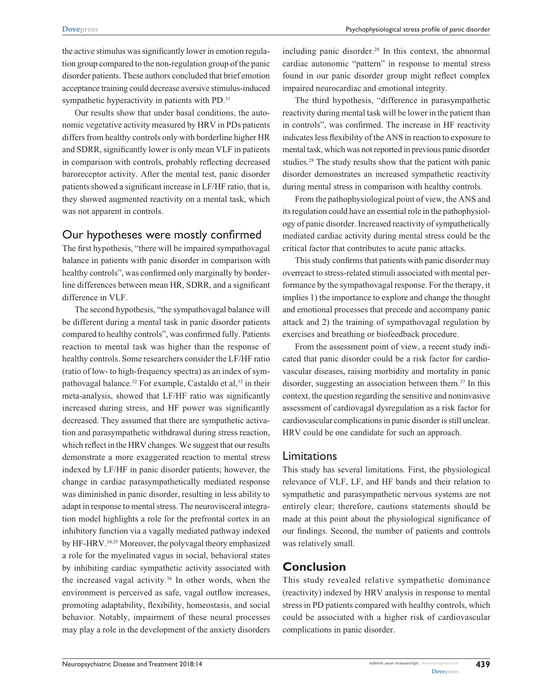the active stimulus was significantly lower in emotion regulation group compared to the non-regulation group of the panic disorder patients. These authors concluded that brief emotion acceptance training could decrease aversive stimulus-induced sympathetic hyperactivity in patients with PD.<sup>31</sup>

Our results show that under basal conditions, the autonomic vegetative activity measured by HRV in PDs patients differs from healthy controls only with borderline higher HR and SDRR, significantly lower is only mean VLF in patients in comparison with controls, probably reflecting decreased baroreceptor activity. After the mental test, panic disorder patients showed a significant increase in LF/HF ratio, that is, they showed augmented reactivity on a mental task, which was not apparent in controls.

# Our hypotheses were mostly confirmed

The first hypothesis, "there will be impaired sympathovagal balance in patients with panic disorder in comparison with healthy controls", was confirmed only marginally by borderline differences between mean HR, SDRR, and a significant difference in VLF.

The second hypothesis, "the sympathovagal balance will be different during a mental task in panic disorder patients compared to healthy controls", was confirmed fully. Patients reaction to mental task was higher than the response of healthy controls. Some researchers consider the LF/HF ratio (ratio of low- to high-frequency spectra) as an index of sympathovagal balance.<sup>32</sup> For example, Castaldo et al,<sup>33</sup> in their meta-analysis, showed that LF/HF ratio was significantly increased during stress, and HF power was significantly decreased. They assumed that there are sympathetic activation and parasympathetic withdrawal during stress reaction, which reflect in the HRV changes. We suggest that our results demonstrate a more exaggerated reaction to mental stress indexed by LF/HF in panic disorder patients; however, the change in cardiac parasympathetically mediated response was diminished in panic disorder, resulting in less ability to adapt in response to mental stress. The neurovisceral integration model highlights a role for the prefrontal cortex in an inhibitory function via a vagally mediated pathway indexed by HF-HRV.34,35 Moreover, the polyvagal theory emphasized a role for the myelinated vagus in social, behavioral states by inhibiting cardiac sympathetic activity associated with the increased vagal activity.<sup>36</sup> In other words, when the environment is perceived as safe, vagal outflow increases, promoting adaptability, flexibility, homeostasis, and social behavior. Notably, impairment of these neural processes may play a role in the development of the anxiety disorders

including panic disorder.<sup>28</sup> In this context, the abnormal cardiac autonomic "pattern" in response to mental stress found in our panic disorder group might reflect complex impaired neurocardiac and emotional integrity.

The third hypothesis, "difference in parasympathetic reactivity during mental task will be lower in the patient than in controls", was confirmed. The increase in HF reactivity indicates less flexibility of the ANS in reaction to exposure to mental task, which was not reported in previous panic disorder studies.28 The study results show that the patient with panic disorder demonstrates an increased sympathetic reactivity during mental stress in comparison with healthy controls.

From the pathophysiological point of view, the ANS and its regulation could have an essential role in the pathophysiology of panic disorder. Increased reactivity of sympathetically mediated cardiac activity during mental stress could be the critical factor that contributes to acute panic attacks.

This study confirms that patients with panic disorder may overreact to stress-related stimuli associated with mental performance by the sympathovagal response. For the therapy, it implies 1) the importance to explore and change the thought and emotional processes that precede and accompany panic attack and 2) the training of sympathovagal regulation by exercises and breathing or biofeedback procedure.

From the assessment point of view, a recent study indicated that panic disorder could be a risk factor for cardiovascular diseases, raising morbidity and mortality in panic disorder, suggesting an association between them.<sup>37</sup> In this context, the question regarding the sensitive and noninvasive assessment of cardiovagal dysregulation as a risk factor for cardiovascular complications in panic disorder is still unclear. HRV could be one candidate for such an approach.

# Limitations

This study has several limitations. First, the physiological relevance of VLF, LF, and HF bands and their relation to sympathetic and parasympathetic nervous systems are not entirely clear; therefore, cautions statements should be made at this point about the physiological significance of our findings. Second, the number of patients and controls was relatively small.

# **Conclusion**

This study revealed relative sympathetic dominance (reactivity) indexed by HRV analysis in response to mental stress in PD patients compared with healthy controls, which could be associated with a higher risk of cardiovascular complications in panic disorder.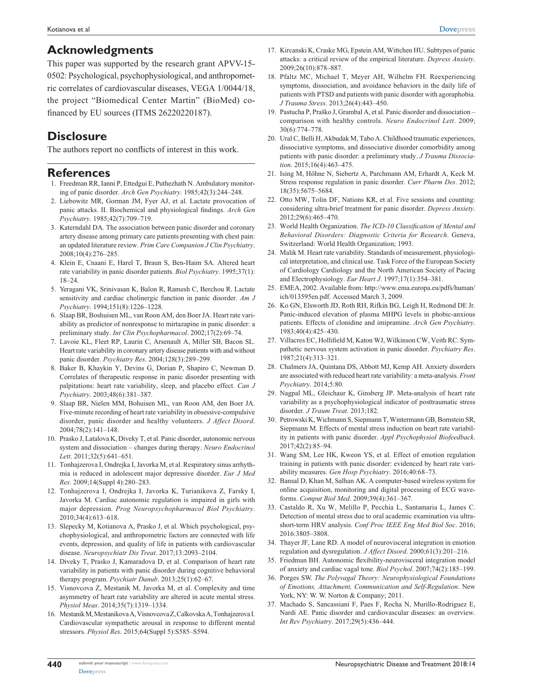# **Acknowledgments**

This paper was supported by the research grant APVV-15- 0502: Psychological, psychophysiological, and anthropometric correlates of cardiovascular diseases, VEGA 1/0044/18, the project "Biomedical Center Martin" (BioMed) cofinanced by EU sources (ITMS 26220220187).

# **Disclosure**

The authors report no conflicts of interest in this work.

#### **References**

- 1. Freedman RR, Ianni P, Ettedgui E, Puthezhath N. Ambulatory monitoring of panic disorder. *Arch Gen Psychiatry*. 1985;42(3):244–248.
- 2. Liebowitz MR, Gorman JM, Fyer AJ, et al. Lactate provocation of panic attacks. II. Biochemical and physiological findings. *Arch Gen Psychiatry*. 1985;42(7):709–719.
- 3. Katerndahl DA. The association between panic disorder and coronary artery disease among primary care patients presenting with chest pain: an updated literature review. *Prim Care Companion J Clin Psychiatry*. 2008;10(4):276–285.
- 4. Klein E, Cnaani E, Harel T, Braun S, Ben-Haim SA. Altered heart rate variability in panic disorder patients. *Biol Psychiatry*. 1995;37(1): 18–24.
- 5. Yeragani VK, Srinivasan K, Balon R, Ramesh C, Berchou R. Lactate sensitivity and cardiac cholinergic function in panic disorder. *Am J Psychiatry*. 1994;151(8):1226–1228.
- 6. Slaap BR, Boshuisen ML, van Roon AM, den Boer JA. Heart rate variability as predictor of nonresponse to mirtazapine in panic disorder: a preliminary study. *Int Clin Psychopharmacol*. 2002;17(2):69–74.
- 7. Lavoie KL, Fleet RP, Laurin C, Arsenault A, Miller SB, Bacon SL. Heart rate variability in coronary artery disease patients with and without panic disorder. *Psychiatry Res*. 2004;128(3):289–299.
- 8. Baker B, Khaykin Y, Devins G, Dorian P, Shapiro C, Newman D. Correlates of therapeutic response in panic disorder presenting with palpitations: heart rate variability, sleep, and placebo effect. *Can J Psychiatry*. 2003;48(6):381–387.
- 9. Slaap BR, Nielen MM, Bohuisen ML, van Roon AM, den Boer JA. Five-minute recording of heart rate variability in obsessive-compulsive disorder, panic disorder and healthy volunteers. *J Affect Disord*. 2004;78(2):141–148.
- 10. Prasko J, Latalova K, Diveky T, et al. Panic disorder, autonomic nervous system and dissociation – changes during therapy. *Neuro Endocrinol Lett*. 2011;32(5):641–651.
- 11. Tonhajzerova I, Ondrejka I, Javorka M, et al. Respiratory sinus arrhythmia is reduced in adolescent major depressive disorder. *Eur J Med Res*. 2009;14(Suppl 4):280–283.
- 12. Tonhajzerova I, Ondrejka I, Javorka K, Turianikova Z, Farsky I, Javorka M. Cardiac autonomic regulation is impaired in girls with major depression. *Prog Neuropsychopharmacol Biol Psychiatry*. 2010;34(4):613–618.
- 13. Slepecky M, Kotianova A, Prasko J, et al. Which psychological, psychophysiological, and anthropometric factors are connected with life events, depression, and quality of life in patients with cardiovascular disease. *Neuropsychiatr Dis Treat*. 2017;13:2093–2104.
- 14. Diveky T, Prasko J, Kamaradova D, et al. Comparison of heart rate variability in patients with panic disorder during cognitive behavioral therapy program. *Psychiatr Danub*. 2013;25(1):62–67.
- 15. Visnovcova Z, Mestanik M, Javorka M, et al. Complexity and time asymmetry of heart rate variability are altered in acute mental stress. *Physiol Meas*. 2014;35(7):1319–1334.
- 16. Mestanik M, Mestanikova A, Visnovcova Z, Calkovska A, Tonhajzerova I. Cardiovascular sympathetic arousal in response to different mental stressors. *Physiol Res*. 2015;64(Suppl 5):S585–S594.
- 17. Kircanski K, Craske MG, Epstein AM, Wittchen HU. Subtypes of panic attacks: a critical review of the empirical literature. *Depress Anxiety*. 2009;26(10):878–887.
- 18. Pfaltz MC, Michael T, Meyer AH, Wilhelm FH. Reexperiencing symptoms, dissociation, and avoidance behaviors in the daily life of patients with PTSD and patients with panic disorder with agoraphobia. *J Trauma Stress*. 2013;26(4):443–450.
- 19. Pastucha P, Praško J, Grambal A, et al. Panic disorder and dissociation comparison with healthy controls. *Neuro Endocrinol Lett*. 2009; 30(6):774–778.
- 20. Ural C, Belli H, Akbudak M, Tabo A. Childhood traumatic experiences, dissociative symptoms, and dissociative disorder comorbidity among patients with panic disorder: a preliminary study. *J Trauma Dissociation*. 2015;16(4):463–475.
- 21. Ising M, Höhne N, Siebertz A, Parchmann AM, Erhardt A, Keck M. Stress response regulation in panic disorder. *Curr Pharm Des*. 2012; 18(35):5675–5684.
- 22. Otto MW, Tolin DF, Nations KR, et al. Five sessions and counting: considering ultra-brief treatment for panic disorder. *Depress Anxiety*. 2012;29(6):465–470.
- 23. World Health Organization. *The ICD-10 Classification of Mental and Behavioral Disorders: Diagnostic Criteria for Research*. Geneva, Switzerland: World Health Organization; 1993.
- 24. Malik M. Heart rate variability. Standards of measurement, physiological interpretation, and clinical use. Task Force of the European Society of Cardiology Cardiology and the North American Society of Pacing and Electrophysiology. *Eur Heart J*. 1997;17(1):354–381.
- 25. EMEA, 2002. Available from: [http://www.ema.europa.eu/pdfs/human/](http://www.ema.europa.eu/pdfs/human/ich/013595en.pdf) [ich/013595en.pdf.](http://www.ema.europa.eu/pdfs/human/ich/013595en.pdf) Accessed March 3, 2009.
- 26. Ko GN, Elsworth JD, Roth RH, Rifkin BG, Leigh H, Redmond DE Jr. Panic-induced elevation of plasma MHPG levels in phobic-anxious patients. Effects of clonidine and imipramine. *Arch Gen Psychiatry*. 1983;40(4):425–430.
- 27. Villacres EC, Hollifield M, Katon WJ, Wilkinson CW, Veith RC. Sympathetic nervous system activation in panic disorder. *Psychiatry Res*. 1987;21(4):313–321.
- 28. Chalmers JA, Quintana DS, Abbott MJ, Kemp AH. Anxiety disorders are associated with reduced heart rate variability: a meta-analysis. *Front Psychiatry*. 2014;5:80.
- 29. Nagpal ML, Gleichaur K, Ginsberg JP. Meta-analysis of heart rate variability as a psychophysiological indicator of posttraumatic stress disorder. *J Traum Treat*. 2013;182.
- 30. Petrowski K, Wichmann S, Siepmann T, Wintermann GB, Bornstein SR, Siepmann M. Effects of mental stress induction on heart rate variability in patients with panic disorder. *Appl Psychophysiol Biofeedback*. 2017;42(2):85–94.
- 31. Wang SM, Lee HK, Kweon YS, et al. Effect of emotion regulation training in patients with panic disorder: evidenced by heart rate variability measures. *Gen Hosp Psychiatry*. 2016;40:68–73.
- 32. Bansal D, Khan M, Salhan AK. A computer-based wireless system for online acquisition, monitoring and digital processing of ECG waveforms. *Comput Biol Med*. 2009;39(4):361–367.
- 33. Castaldo R, Xu W, Melillo P, Pecchia L, Santamaria L, James C. Detection of mental stress due to oral academic examination via ultrashort-term HRV analysis. *Conf Proc IEEE Eng Med Biol Soc*. 2016; 2016:3805–3808.
- 34. Thayer JF, Lane RD. A model of neurovisceral integration in emotion regulation and dysregulation. *J Affect Disord*. 2000;61(3):201–216.
- 35. Friedman BH. Autonomic flexibility-neurovisceral integration model of anxiety and cardiac vagal tone. *Biol Psychol*. 2007;74(2):185–199.
- 36. Porges SW. *The Polyvagal Theory: Neurophysiological Foundations of Emotions, Attachment, Communication and Self-Regulation*. New York, NY: W. W. Norton & Company; 2011.
- 37. Machado S, Sancassiani F, Paes F, Rocha N, Murillo-Rodriguez E, Nardi AE. Panic disorder and cardiovascular diseases: an overview. *Int Rev Psychiatry*. 2017;29(5):436–444.